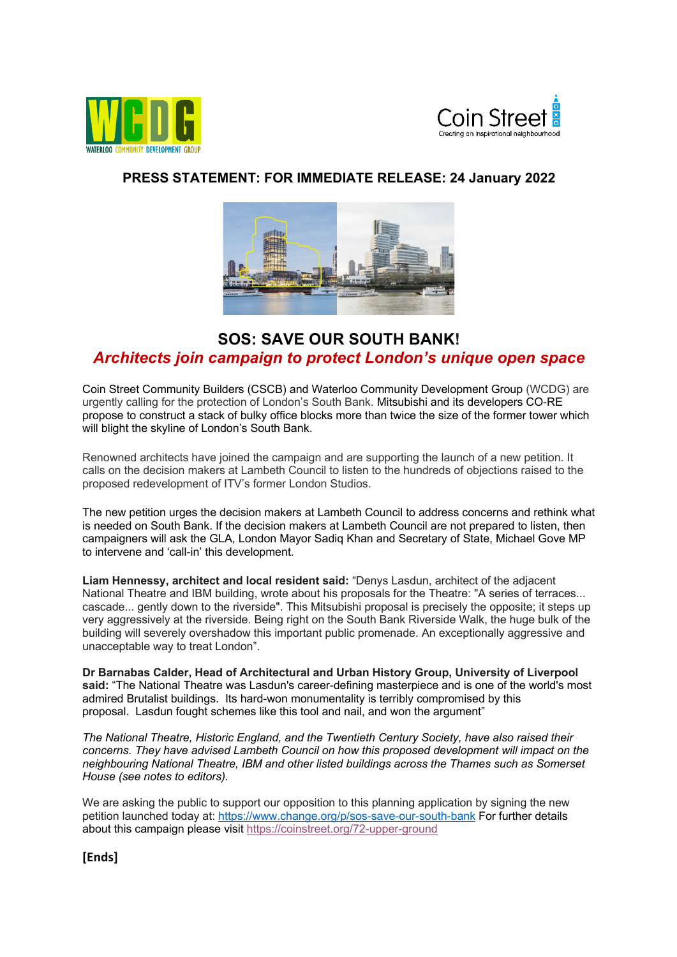



## **PRESS STATEMENT: FOR IMMEDIATE RELEASE: 24 January 2022**



## **SOS: SAVE OUR SOUTH BANK!** *Architects join campaign to protect London's unique open space*

Coin Street Community Builders (CSCB) and Waterloo Community Development Group (WCDG) are urgently calling for the protection of London's South Bank. Mitsubishi and its developers CO-RE propose to construct a stack of bulky office blocks more than twice the size of the former tower which will blight the skyline of London's South Bank.

Renowned architects have joined the campaign and are supporting the launch of a new petition. It calls on the decision makers at Lambeth Council to listen to the hundreds of objections raised to the proposed redevelopment of ITV's former London Studios.

The new petition urges the decision makers at Lambeth Council to address concerns and rethink what is needed on South Bank. If the decision makers at Lambeth Council are not prepared to listen, then campaigners will ask the GLA, London Mayor Sadiq Khan and Secretary of State, Michael Gove MP to intervene and 'call-in' this development.

**Liam Hennessy, architect and local resident said:** "Denys Lasdun, architect of the adjacent National Theatre and IBM building, wrote about his proposals for the Theatre: "A series of terraces... cascade... gently down to the riverside". This Mitsubishi proposal is precisely the opposite; it steps up very aggressively at the riverside. Being right on the South Bank Riverside Walk, the huge bulk of the building will severely overshadow this important public promenade. An exceptionally aggressive and unacceptable way to treat London".

**Dr Barnabas Calder, Head of Architectural and Urban History Group, University of Liverpool said:** "The National Theatre was Lasdun's career-defining masterpiece and is one of the world's most admired Brutalist buildings. Its hard-won monumentality is terribly compromised by this proposal. Lasdun fought schemes like this tool and nail, and won the argument"

*The National Theatre, Historic England, and the Twentieth Century Society, have also raised their concerns. They have advised Lambeth Council on how this proposed development will impact on the neighbouring National Theatre, IBM and other listed buildings across the Thames such as Somerset House (see notes to editors).* 

We are asking the public to support our opposition to this planning application by signing the new petition launched today at: https://www.change.org/p/sos-save-our-south-bank For further details about this campaign please visit https://coinstreet.org/72-upper-ground

**[Ends]**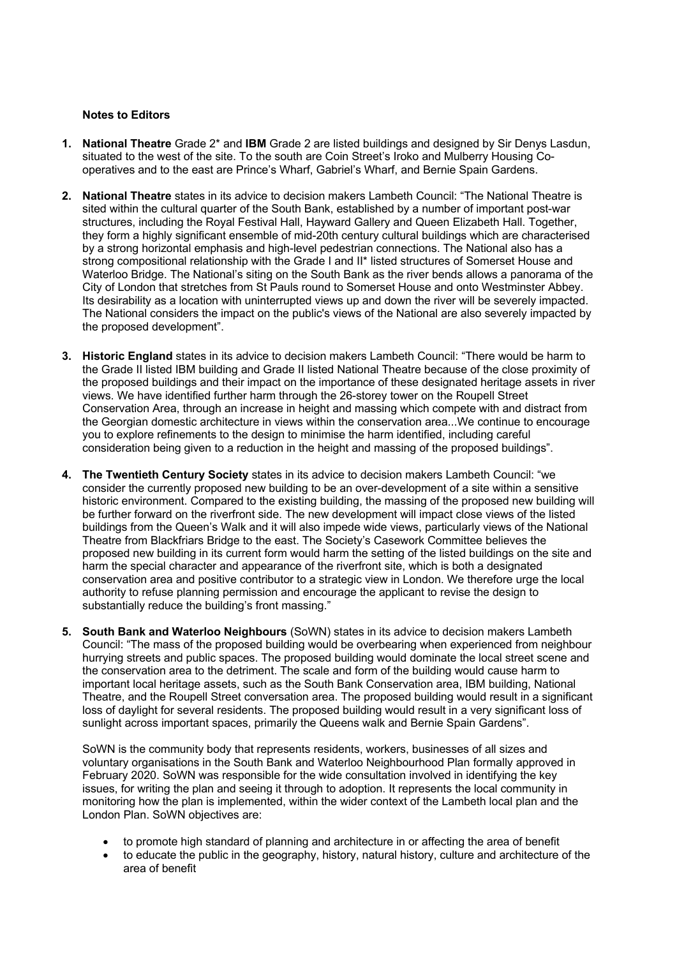## **Notes to Editors**

- **1. National Theatre** Grade 2\* and **IBM** Grade 2 are listed buildings and designed by Sir Denys Lasdun, situated to the west of the site. To the south are Coin Street's Iroko and Mulberry Housing Cooperatives and to the east are Prince's Wharf, Gabriel's Wharf, and Bernie Spain Gardens.
- **2. National Theatre** states in its advice to decision makers Lambeth Council: "The National Theatre is sited within the cultural quarter of the South Bank, established by a number of important post-war structures, including the Royal Festival Hall, Hayward Gallery and Queen Elizabeth Hall. Together, they form a highly significant ensemble of mid-20th century cultural buildings which are characterised by a strong horizontal emphasis and high-level pedestrian connections. The National also has a strong compositional relationship with the Grade I and II\* listed structures of Somerset House and Waterloo Bridge. The National's siting on the South Bank as the river bends allows a panorama of the City of London that stretches from St Pauls round to Somerset House and onto Westminster Abbey. Its desirability as a location with uninterrupted views up and down the river will be severely impacted. The National considers the impact on the public's views of the National are also severely impacted by the proposed development".
- **3. Historic England** states in its advice to decision makers Lambeth Council: "There would be harm to the Grade II listed IBM building and Grade II listed National Theatre because of the close proximity of the proposed buildings and their impact on the importance of these designated heritage assets in river views. We have identified further harm through the 26-storey tower on the Roupell Street Conservation Area, through an increase in height and massing which compete with and distract from the Georgian domestic architecture in views within the conservation area...We continue to encourage you to explore refinements to the design to minimise the harm identified, including careful consideration being given to a reduction in the height and massing of the proposed buildings".
- **4. The Twentieth Century Society** states in its advice to decision makers Lambeth Council: "we consider the currently proposed new building to be an over-development of a site within a sensitive historic environment. Compared to the existing building, the massing of the proposed new building will be further forward on the riverfront side. The new development will impact close views of the listed buildings from the Queen's Walk and it will also impede wide views, particularly views of the National Theatre from Blackfriars Bridge to the east. The Society's Casework Committee believes the proposed new building in its current form would harm the setting of the listed buildings on the site and harm the special character and appearance of the riverfront site, which is both a designated conservation area and positive contributor to a strategic view in London. We therefore urge the local authority to refuse planning permission and encourage the applicant to revise the design to substantially reduce the building's front massing."
- **5. South Bank and Waterloo Neighbours** (SoWN) states in its advice to decision makers Lambeth Council: "The mass of the proposed building would be overbearing when experienced from neighbour hurrying streets and public spaces. The proposed building would dominate the local street scene and the conservation area to the detriment. The scale and form of the building would cause harm to important local heritage assets, such as the South Bank Conservation area, IBM building, National Theatre, and the Roupell Street conversation area. The proposed building would result in a significant loss of daylight for several residents. The proposed building would result in a very significant loss of sunlight across important spaces, primarily the Queens walk and Bernie Spain Gardens".

SoWN is the community body that represents residents, workers, businesses of all sizes and voluntary organisations in the South Bank and Waterloo Neighbourhood Plan formally approved in February 2020. SoWN was responsible for the wide consultation involved in identifying the key issues, for writing the plan and seeing it through to adoption. It represents the local community in monitoring how the plan is implemented, within the wider context of the Lambeth local plan and the London Plan. SoWN objectives are:

- to promote high standard of planning and architecture in or affecting the area of benefit
- to educate the public in the geography, history, natural history, culture and architecture of the area of benefit